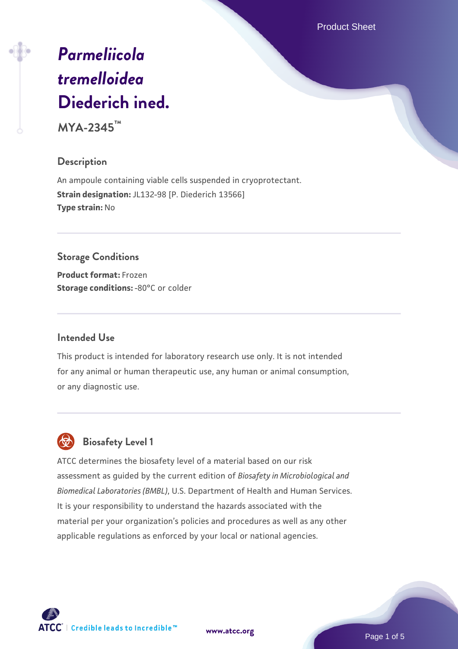Product Sheet

# *[Parmeliicola](https://www.atcc.org/products/mya-2345) [tremelloidea](https://www.atcc.org/products/mya-2345)* **[Diederich ined.](https://www.atcc.org/products/mya-2345)**

**MYA-2345™**

# **Description**

An ampoule containing viable cells suspended in cryoprotectant. **Strain designation:** JL132-98 [P. Diederich 13566] **Type strain:** No

# **Storage Conditions**

**Product format:** Frozen **Storage conditions: -80°C or colder** 

## **Intended Use**

This product is intended for laboratory research use only. It is not intended for any animal or human therapeutic use, any human or animal consumption, or any diagnostic use.

# **Biosafety Level 1**

ATCC determines the biosafety level of a material based on our risk assessment as guided by the current edition of *Biosafety in Microbiological and Biomedical Laboratories (BMBL)*, U.S. Department of Health and Human Services. It is your responsibility to understand the hazards associated with the material per your organization's policies and procedures as well as any other applicable regulations as enforced by your local or national agencies.



**[www.atcc.org](http://www.atcc.org)**

Page 1 of 5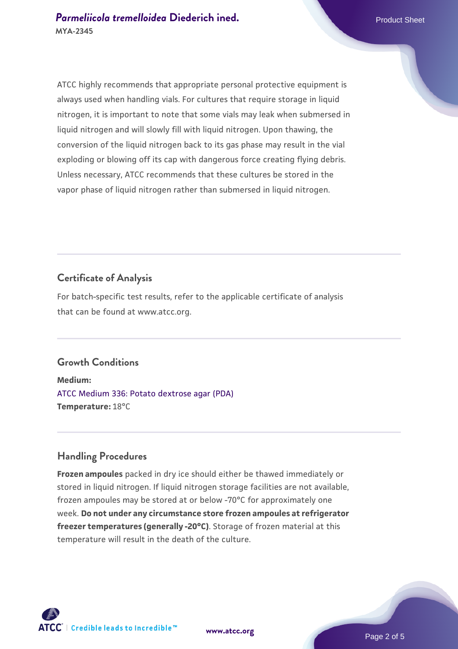ATCC highly recommends that appropriate personal protective equipment is always used when handling vials. For cultures that require storage in liquid nitrogen, it is important to note that some vials may leak when submersed in liquid nitrogen and will slowly fill with liquid nitrogen. Upon thawing, the conversion of the liquid nitrogen back to its gas phase may result in the vial exploding or blowing off its cap with dangerous force creating flying debris. Unless necessary, ATCC recommends that these cultures be stored in the vapor phase of liquid nitrogen rather than submersed in liquid nitrogen.

#### **Certificate of Analysis**

For batch-specific test results, refer to the applicable certificate of analysis that can be found at www.atcc.org.

#### **Growth Conditions**

**Medium:**  [ATCC Medium 336: Potato dextrose agar \(PDA\)](https://www.atcc.org/-/media/product-assets/documents/microbial-media-formulations/3/3/6/atcc-medium-336.pdf?rev=d9160ad44d934cd8b65175461abbf3b9) **Temperature:** 18°C

## **Handling Procedures**

**Frozen ampoules** packed in dry ice should either be thawed immediately or stored in liquid nitrogen. If liquid nitrogen storage facilities are not available, frozen ampoules may be stored at or below -70°C for approximately one week. **Do not under any circumstance store frozen ampoules at refrigerator freezer temperatures (generally -20°C)**. Storage of frozen material at this temperature will result in the death of the culture.

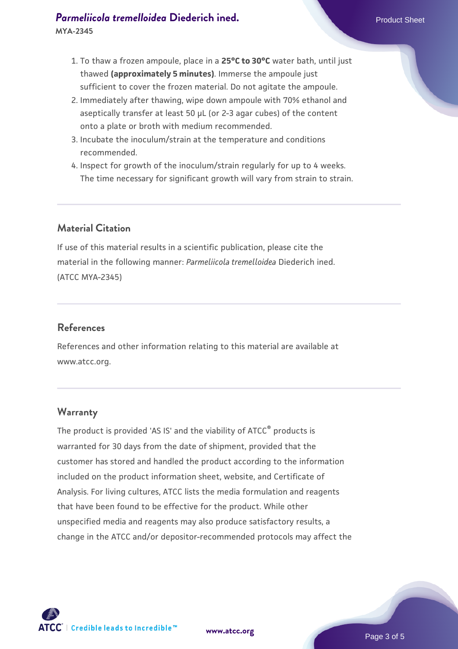# **[Parmeliicola tremelloidea](https://www.atcc.org/products/mya-2345) [Diederich ined.](https://www.atcc.org/products/mya-2345)** Parmeliicola tremelloidea Diederich ined. **MYA-2345**

- 1. To thaw a frozen ampoule, place in a **25°C to 30°C** water bath, until just thawed **(approximately 5 minutes)**. Immerse the ampoule just sufficient to cover the frozen material. Do not agitate the ampoule.
- 2. Immediately after thawing, wipe down ampoule with 70% ethanol and aseptically transfer at least 50 µL (or 2-3 agar cubes) of the content onto a plate or broth with medium recommended.
- 3. Incubate the inoculum/strain at the temperature and conditions recommended.
- 4. Inspect for growth of the inoculum/strain regularly for up to 4 weeks. The time necessary for significant growth will vary from strain to strain.

# **Material Citation**

If use of this material results in a scientific publication, please cite the material in the following manner: *Parmeliicola tremelloidea* Diederich ined. (ATCC MYA-2345)

## **References**

References and other information relating to this material are available at www.atcc.org.

## **Warranty**

The product is provided 'AS IS' and the viability of ATCC® products is warranted for 30 days from the date of shipment, provided that the customer has stored and handled the product according to the information included on the product information sheet, website, and Certificate of Analysis. For living cultures, ATCC lists the media formulation and reagents that have been found to be effective for the product. While other unspecified media and reagents may also produce satisfactory results, a change in the ATCC and/or depositor-recommended protocols may affect the



Page 3 of 5

**[www.atcc.org](http://www.atcc.org)**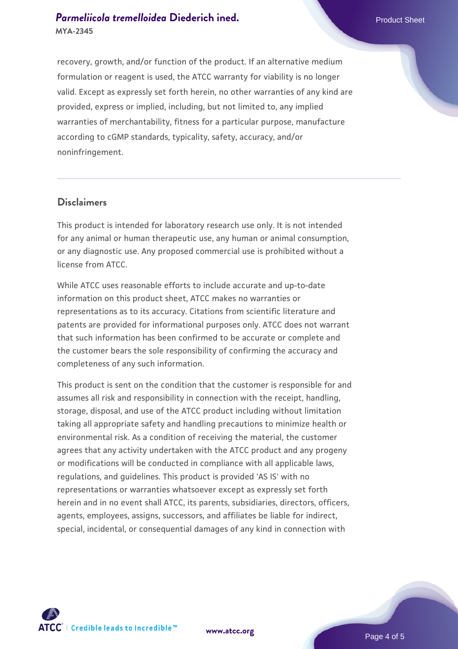# **[Parmeliicola tremelloidea](https://www.atcc.org/products/mya-2345) [Diederich ined.](https://www.atcc.org/products/mya-2345)** Parmeliicola tremelloidea Diederich ined. **MYA-2345**

recovery, growth, and/or function of the product. If an alternative medium formulation or reagent is used, the ATCC warranty for viability is no longer valid. Except as expressly set forth herein, no other warranties of any kind are provided, express or implied, including, but not limited to, any implied warranties of merchantability, fitness for a particular purpose, manufacture according to cGMP standards, typicality, safety, accuracy, and/or noninfringement.

#### **Disclaimers**

This product is intended for laboratory research use only. It is not intended for any animal or human therapeutic use, any human or animal consumption, or any diagnostic use. Any proposed commercial use is prohibited without a license from ATCC.

While ATCC uses reasonable efforts to include accurate and up-to-date information on this product sheet, ATCC makes no warranties or representations as to its accuracy. Citations from scientific literature and patents are provided for informational purposes only. ATCC does not warrant that such information has been confirmed to be accurate or complete and the customer bears the sole responsibility of confirming the accuracy and completeness of any such information.

This product is sent on the condition that the customer is responsible for and assumes all risk and responsibility in connection with the receipt, handling, storage, disposal, and use of the ATCC product including without limitation taking all appropriate safety and handling precautions to minimize health or environmental risk. As a condition of receiving the material, the customer agrees that any activity undertaken with the ATCC product and any progeny or modifications will be conducted in compliance with all applicable laws, regulations, and guidelines. This product is provided 'AS IS' with no representations or warranties whatsoever except as expressly set forth herein and in no event shall ATCC, its parents, subsidiaries, directors, officers, agents, employees, assigns, successors, and affiliates be liable for indirect, special, incidental, or consequential damages of any kind in connection with





Page 4 of 5